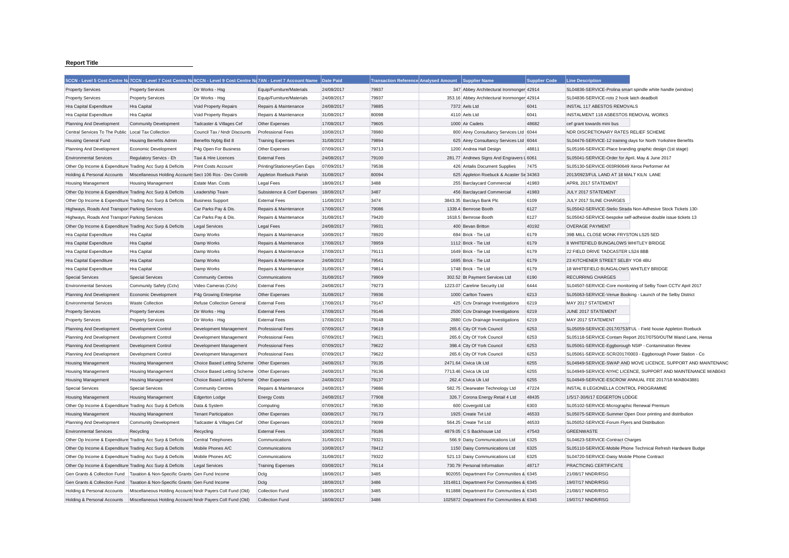## **Report Title**

|                                                           |                                                            | 5CCN - Level 5 Cost Centre Na 7CCN - Level 7 Cost Centre Na 9CCN - Level 9 Cost Centre Na 7AN - Level 7 Account Name |                                          | Date Paid  | <b>Transaction Reference Analysed Amount</b> | <b>Supplier Name</b>                        | <b>Supplier Code</b> | <b>Line Description</b>                                       |                                                               |
|-----------------------------------------------------------|------------------------------------------------------------|----------------------------------------------------------------------------------------------------------------------|------------------------------------------|------------|----------------------------------------------|---------------------------------------------|----------------------|---------------------------------------------------------------|---------------------------------------------------------------|
| <b>Property Services</b>                                  | <b>Property Services</b>                                   | Dir Works - Hsg                                                                                                      | Equip/Furniture/Materials                | 24/08/2017 | 79937                                        | 347 Abbey Architectural Ironmonger 42914    |                      | SL04836-SERVICE-Prolina smart spindle white handle (window)   |                                                               |
| <b>Property Services</b>                                  | <b>Property Services</b>                                   | Dir Works - Hsg                                                                                                      | Equip/Furniture/Materials                | 24/08/2017 | 79937                                        | 353.16 Abbey Architectural Ironmonger 42914 |                      | SL04836-SERVICE-roto 2 hook latch deadbolt                    |                                                               |
| Hra Capital Expenditure                                   | Hra Capital                                                | Void Property Repairs                                                                                                | Repairs & Maintenance                    | 24/08/2017 | 79885                                        | 7372 Aels Ltd                               | 6041                 | <b>INSTAL 117 ABESTOS REMOVALS</b>                            |                                                               |
| Hra Capital Expenditure                                   | Hra Capital                                                | Void Property Repairs                                                                                                | Repairs & Maintenance                    | 31/08/2017 | 80098                                        | 4110 Aels Ltd                               | 6041                 | INSTALMENT 118 ASBESTOS REMOVAL WORKS                         |                                                               |
| Planning And Development                                  | <b>Community Development</b>                               | Tadcaster & Villages Cef                                                                                             | Other Expenses                           | 17/08/2017 | 79605                                        | 1000 Air Cadets                             | 48682                | cef grant towards mini bus                                    |                                                               |
| Central Services To The Public                            | Local Tax Collection                                       | Council Tax / Nndr Discounts                                                                                         | <b>Professional Fees</b>                 | 10/08/2017 | 78980                                        | 800 Airey Consultancy Services Ltd 6044     |                      | NDR DISCRETIONARY RATES RELIEF SCHEME                         |                                                               |
| <b>Housing General Fund</b>                               | <b>Housing Benefits Admin</b>                              | Benefits Nybtg Bid 8                                                                                                 | <b>Training Expenses</b>                 | 31/08/2017 | 79894                                        | 625 Airey Consultancy Services Ltd 6044     |                      | SL04476-SERVICE-12 training days for North Yorkshire Benefits |                                                               |
| Planning And Development                                  | Economic Development                                       | P4g Open For Business                                                                                                | Other Expenses                           | 07/09/2017 | 79713                                        | 1200 Andrea Hall Design                     | 48811                | SL05166-SERVICE-Place branding graphic design (1st stage)     |                                                               |
| <b>Environmental Services</b>                             | Regulatory Servics - Eh                                    | Taxi & Hire Licences                                                                                                 | <b>External Fees</b>                     | 24/08/2017 | 79100                                        | 281.77 Andrews Signs And Engravers L 6061   |                      | SL05041-SERVICE-Order for April, May & June 2017              |                                                               |
| Other Op Income & Expenditure Trading Acc Surp & Deficits |                                                            | Print Costs Account                                                                                                  | Printing/Stationery/Gen Exps             | 07/09/2017 | 79536                                        | 426 Antalis Document Supplies               | 7475                 | SL05130-SERVICE-003R90649 Xerox Performer A4                  |                                                               |
| Holding & Personal Accounts                               | Miscellaneous Holding Accounts Sect 106 Ros - Dev Contrib  |                                                                                                                      | Appleton Roebuck Parish                  | 31/08/2017 | 80094                                        | 625 Appleton Roebuck & Acaster Se 34363     |                      | 2013/0923/FUL LAND AT 18 MALT KILN LANE                       |                                                               |
| <b>Housing Management</b>                                 | <b>Housing Management</b>                                  | Estate Man. Costs                                                                                                    | <b>Legal Fees</b>                        | 18/08/2017 | 3488                                         | 255 Barclaycard Commercial                  | 41983                | APRIL 2017 STATEMENT                                          |                                                               |
| Other Op Income & Expenditure Trading Acc Surp & Deficits |                                                            | Leadership Team                                                                                                      | Subsistence & Conf Expenses   18/08/2017 |            | 3487                                         | 456 Barclaycard Commercial                  | 41983                | JULY 2017 STATEMENT                                           |                                                               |
| Other Op Income & Expenditure Trading Acc Surp & Deficits |                                                            | <b>Business Support</b>                                                                                              | <b>External Fees</b>                     | 11/08/2017 | 3474                                         | 3843.35 Barclays Bank Plc                   | 6109                 | JULY 2017 SLINE CHARGES                                       |                                                               |
| Highways, Roads And Transpor Parking Services             |                                                            | Car Parks Pay & Dis.                                                                                                 | Repairs & Maintenance                    | 17/08/2017 | 79086                                        | 1339.4 Bemrose Booth                        | 6127                 | SL05042-SERVICE-Stelio Strada Non-Adhesive Stock Tickets 130- |                                                               |
| Highways, Roads And Transpor Parking Services             |                                                            | Car Parks Pay & Dis.                                                                                                 | Repairs & Maintenance                    | 31/08/2017 | 79420                                        | 1618.5 Bemrose Booth                        | 6127                 | SL05042-SERVICE-bespoke self-adhesive double issue tickets 13 |                                                               |
| Other Op Income & Expenditure Trading Acc Surp & Deficits |                                                            | <b>Legal Services</b>                                                                                                | <b>Legal Fees</b>                        | 24/08/2017 | 79931                                        | 400 Bevan Britton                           | 40192                | <b>OVERAGE PAYMENT</b>                                        |                                                               |
| Hra Capital Expenditure                                   | <b>Hra Capital</b>                                         | Damp Works                                                                                                           | Repairs & Maintenance                    | 10/08/2017 | 78920                                        | 694 Brick - Tie Ltd                         | 6179                 | 39B MILL CLOSE MONK FRYSTON LS25 5ED                          |                                                               |
| Hra Capital Expenditure                                   | <b>Hra Capital</b>                                         | Damp Works                                                                                                           | Repairs & Maintenance                    | 17/08/2017 | 78959                                        | 1112 Brick - Tie Ltd                        | 6179                 | 8 WHITEFIELD BUNGALOWS WHITLEY BRIDGE                         |                                                               |
| Hra Capital Expenditure                                   | <b>Hra Capital</b>                                         | Damp Works                                                                                                           | Repairs & Maintenance                    | 17/08/2017 | 79111                                        | 1649 Brick - Tie Ltd                        | 6179                 | 22 FIELD DRIVE TADCASTER LS24 8BB                             |                                                               |
| <b>Hra Capital Expenditure</b>                            | <b>Hra Capital</b>                                         | Damp Works                                                                                                           | Repairs & Maintenance                    | 24/08/2017 | 79541                                        | 1695 Brick - Tie Ltd                        | 6179                 | 23 KITCHENER STREET SELBY YO8 4BU                             |                                                               |
| Hra Capital Expenditure                                   | <b>Hra</b> Capital                                         | Damp Works                                                                                                           | Repairs & Maintenance                    | 31/08/2017 | 79814                                        | 1748 Brick - Tie Ltd                        | 6179                 | 18 WHITEFIELD BUNGALOWS WHITLEY BRIDGE                        |                                                               |
| <b>Special Services</b>                                   | <b>Special Services</b>                                    | <b>Community Centres</b>                                                                                             | Communications                           | 31/08/2017 | 79909                                        | 302.52 Bt Payment Services Ltd              | 6190                 | <b>RECURRING CHARGES</b>                                      |                                                               |
| <b>Environmental Services</b>                             | Community Safety (Cctv)                                    | Video Cameras (Cctv)                                                                                                 | <b>External Fees</b>                     | 24/08/2017 | 79273                                        | 1223.07 Careline Security Ltd               | 6444                 |                                                               | SL04507-SERVICE-Core monitoring of Selby Town CCTV April 2017 |
| Planning And Development                                  | Economic Development                                       | P4g Growing Enterprise                                                                                               | Other Expenses                           | 31/08/2017 | 79936                                        | 1000 Carlton Towers                         | 6213                 | SL05063-SERVICE-Venue Booking - Launch of the Selby District  |                                                               |
| <b>Environmental Services</b>                             | <b>Waste Collection</b>                                    | <b>Refuse Collection General</b>                                                                                     | <b>External Fees</b>                     | 17/08/2017 | 79147                                        | 425 Cctv Drainage Investigations            | 6219                 | MAY 2017 STATEMENT                                            |                                                               |
| <b>Property Services</b>                                  | <b>Property Services</b>                                   | Dir Works - Hsg                                                                                                      | <b>External Fees</b>                     | 17/08/2017 | 79146                                        | 2500 Cctv Drainage Investigations           | 6219                 | JUNE 2017 STATEMENT                                           |                                                               |
| <b>Property Services</b>                                  | <b>Property Services</b>                                   | Dir Works - Hsg                                                                                                      | <b>External Fees</b>                     | 17/08/2017 | 79148                                        | 2880 Cctv Drainage Investigations           | 6219                 | MAY 2017 STATEMENT                                            |                                                               |
| Planning And Development                                  | Development Control                                        | Development Management                                                                                               | <b>Professional Fees</b>                 | 07/09/2017 | 79619                                        | 265.6 City Of York Council                  | 6253                 |                                                               | SL05059-SERVICE-2017/0753/FUL - Field house Appleton Roebuck  |
| Planning And Development                                  | Development Control                                        | Development Management                                                                                               | <b>Professional Fees</b>                 | 07/09/2017 | 79621                                        | 265.6 City Of York Council                  | 6253                 |                                                               | SL05118-SERVICE-Contam Report 2017/0750/OUTM Wand Lane, Hensa |
| Planning And Development                                  | Development Control                                        | Development Management                                                                                               | <b>Professional Fees</b>                 | 07/09/2017 | 79622                                        | 398.4 City Of York Council                  | 6253                 | SL05061-SERVICE-Eggborough NSIP - Contamination Review        |                                                               |
| Planning And Development                                  | Development Control                                        | Development Management                                                                                               | <b>Professional Fees</b>                 | 07/09/2017 | 79622                                        | 265.6 City Of York Council                  | 6253                 |                                                               | SL05061-SERVICE-SCR/2017/0003 - Eggborough Power Station - Co |
| <b>Housing Management</b>                                 | <b>Housing Management</b>                                  | Choice Based Letting Scheme Other Expenses                                                                           |                                          | 24/08/2017 | 79135                                        | 2471.64 Civica Uk Ltd                       | 6255                 |                                                               | SL04949-SERVICE-SWAP AND MOVE LICENCE, SUPPORT AND MAINTENANC |
| <b>Housing Management</b>                                 | <b>Housing Management</b>                                  | Choice Based Letting Scheme Other Expenses                                                                           |                                          | 24/08/2017 | 79136                                        | 7713.46 Civica Uk Ltd                       | 6255                 |                                                               | SL04949-SERVICE-NYHC LICENCE, SUPPORT AND MAINTENANCE M/AB043 |
| <b>Housing Management</b>                                 | <b>Housing Management</b>                                  | Choice Based Letting Scheme Other Expenses                                                                           |                                          | 24/08/2017 | 79137                                        | 262.4 Civica Uk Ltd                         | 6255                 | SL04949-SERVICE-ESCROW ANNUAL FEE 2017/18 M/AB043881          |                                                               |
| <b>Special Services</b>                                   | <b>Special Services</b>                                    | <b>Community Centres</b>                                                                                             | Repairs & Maintenance                    | 24/08/2017 | 79886                                        | 582.75 Clearwater Technology Ltd            | 47224                | INSTAL 8 LEGIONELLA CONTROL PROGRAMME                         |                                                               |
| <b>Housing Management</b>                                 | <b>Housing Management</b>                                  | Edgerton Lodge                                                                                                       | <b>Energy Costs</b>                      | 24/08/2017 | 77908                                        | 326.7 Corona Energy Retail 4 Ltd            | 48435                | 1/5/17-30/6/17 EDGERTON LODGE                                 |                                                               |
| Other Op Income & Expenditure Trading Acc Surp & Deficits |                                                            | Data & System                                                                                                        | Computing                                | 07/09/2017 | 79530                                        | 600 Covergold Ltd                           | 6303                 | SL05102-SERVICE-Micrographic Renewal Premium                  |                                                               |
| <b>Housing Management</b>                                 | <b>Housing Management</b>                                  | <b>Tenant Participation</b>                                                                                          | Other Expenses                           | 03/08/2017 | 79173                                        | 1925 Create Tvt Ltd                         | 46533                | SL05075-SERVICE-Summer Open Door printing and distribution    |                                                               |
| Planning And Development                                  | <b>Community Development</b>                               | Tadcaster & Villages Cef                                                                                             | Other Expenses                           | 03/08/2017 | 79099                                        | 564.25 Create Tvt Ltd                       | 46533                | SL05052-SERVICE-Forum Flyers and Distribution                 |                                                               |
| <b>Environmental Services</b>                             | Recycling                                                  | Recycling                                                                                                            | <b>External Fees</b>                     | 10/08/2017 | 79186                                        | 4879.05 C S Backhouse Ltd                   | 47543                | <b>GREENWASTE</b>                                             |                                                               |
| Other Op Income & Expenditure Trading Acc Surp & Deficits |                                                            | Central Telephones                                                                                                   | Communications                           | 31/08/2017 | 79321                                        | 566.9 Daisy Communications Ltd              | 6325                 | SL04623-SERVICE-Contract Charges                              |                                                               |
| Other Op Income & Expenditure Trading Acc Surp & Deficits |                                                            | Mobile Phones A/C                                                                                                    | Communications                           | 10/08/2017 | 78412                                        | 1150 Daisy Communications Ltd               | 6325                 |                                                               | SL05110-SERVICE-Mobile Phone Technical Refresh Hardware Budge |
| Other Op Income & Expenditure Trading Acc Surp & Deficits |                                                            | Mobile Phones A/C                                                                                                    | Communications                           | 31/08/2017 | 79322                                        | 521.13 Daisy Communications Ltd             | 6325                 | SL04720-SERVICE-Daisy Mobile Phone Contract                   |                                                               |
| Other Op Income & Expenditure Trading Acc Surp & Deficits |                                                            | <b>Legal Services</b>                                                                                                | <b>Training Expenses</b>                 | 03/08/2017 | 79114                                        | 730.79 Personal Information                 | 48717                | PRACTICING CERTIFICATE                                        |                                                               |
| Gen Grants & Collection Fund                              | Taxation & Non-Specific Grants Gen Fund Income             |                                                                                                                      | Dclg                                     | 18/08/2017 | 3485                                         | 902055 Department For Communities & 6345    |                      | 21/08/17 NNDR/RSG                                             |                                                               |
| Gen Grants & Collection Fund                              | Taxation & Non-Specific Grants Gen Fund Income             |                                                                                                                      | Dclg                                     | 18/08/2017 | 3486                                         | 1014811 Department For Communities & 6345   |                      | 19/07/17 NNDR/RSG                                             |                                                               |
| Holding & Personal Accounts                               | Miscellaneous Holding Accounts Nndr Payers Coll Fund (Old) |                                                                                                                      | <b>Collection Fund</b>                   | 18/08/2017 | 3485                                         | 911888 Department For Communities & 6345    |                      | 21/08/17 NNDR/RSG                                             |                                                               |
| Holding & Personal Accounts                               | Miscellaneous Holding Accounts Nndr Pavers Coll Fund (Old) |                                                                                                                      | <b>Collection Fund</b>                   | 18/08/2017 | 3486                                         | 1025872 Department For Communities & 6345   |                      | 19/07/17 NNDR/RSG                                             |                                                               |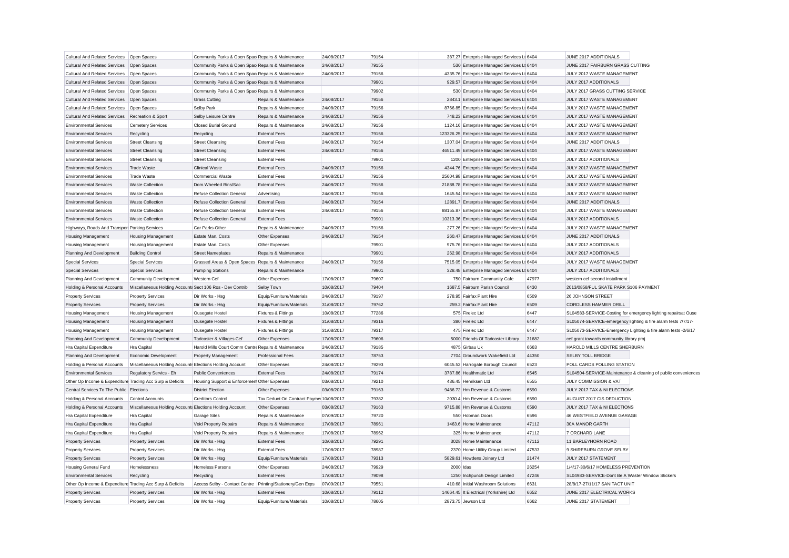| Cultural And Related Services   Open Spaces               |                                                           | Community Parks & Open Spac Repairs & Maintenance    |                                         | 24/08/2017 | 79154 |           | 387.27 Enterprise Managed Services Lt 6404    |                | JUNE 2017 ADDITIONALS                                         |                                                               |
|-----------------------------------------------------------|-----------------------------------------------------------|------------------------------------------------------|-----------------------------------------|------------|-------|-----------|-----------------------------------------------|----------------|---------------------------------------------------------------|---------------------------------------------------------------|
| Cultural And Related Services Open Spaces                 |                                                           | Community Parks & Open Spac Repairs & Maintenance    |                                         | 24/08/2017 | 79155 |           | 530 Enterprise Managed Services Lt 6404       |                | JUNE 2017 FAIRBURN GRASS CUTTING                              |                                                               |
| <b>Cultural And Related Services</b>                      | Open Spaces                                               | Community Parks & Open Spac Repairs & Maintenance    |                                         | 24/08/2017 | 79156 |           | 4335.76 Enterprise Managed Services Lt 6404   |                | JULY 2017 WASTE MANAGEMENT                                    |                                                               |
| <b>Cultural And Related Services</b>                      | Open Spaces                                               | Community Parks & Open Spac Repairs & Maintenance    |                                         |            | 79901 |           | 929.57 Enterprise Managed Services Lt 6404    |                | JULY 2017 ADDITIONALS                                         |                                                               |
| <b>Cultural And Related Services</b>                      | Open Spaces                                               | Community Parks & Open Spac Repairs & Maintenance    |                                         |            | 79902 |           | 530 Enterprise Managed Services Lt 6404       |                | JULY 2017 GRASS CUTTING SERVICE                               |                                                               |
| <b>Cultural And Related Services</b>                      | Open Spaces                                               | <b>Grass Cutting</b>                                 | Repairs & Maintenance                   | 24/08/2017 | 79156 |           | 2843.1 Enterprise Managed Services Lt 6404    |                | JULY 2017 WASTE MANAGEMENT                                    |                                                               |
| <b>Cultural And Related Services</b>                      | Open Spaces                                               | Selby Park                                           | Repairs & Maintenance                   | 24/08/2017 | 79156 |           | 8766.85 Enterprise Managed Services Lt 6404   |                | JULY 2017 WASTE MANAGEMENT                                    |                                                               |
| <b>Cultural And Related Services</b>                      | Recreation & Sport                                        | Selby Leisure Centre                                 | Repairs & Maintenance                   | 24/08/2017 | 79156 |           | 748.23 Enterprise Managed Services Lt 6404    |                | JULY 2017 WASTE MANAGEMENT                                    |                                                               |
| <b>Environmental Services</b>                             | <b>Cemetery Services</b>                                  | <b>Closed Burial Ground</b>                          | Repairs & Maintenance                   | 24/08/2017 | 79156 |           | 1124.16 Enterprise Managed Services Lt 6404   |                | JULY 2017 WASTE MANAGEMENT                                    |                                                               |
| <b>Environmental Services</b>                             | Recycling                                                 | Recycling                                            | <b>External Fees</b>                    | 24/08/2017 | 79156 |           | 123326.25 Enterprise Managed Services Lt 6404 |                | JULY 2017 WASTE MANAGEMENT                                    |                                                               |
| <b>Environmental Services</b>                             | <b>Street Cleansing</b>                                   | <b>Street Cleansing</b>                              | <b>External Fees</b>                    | 24/08/2017 | 79154 |           | 1307.04 Enterprise Managed Services Lt 6404   |                | JUNE 2017 ADDITIONALS                                         |                                                               |
| <b>Environmental Services</b>                             | <b>Street Cleansing</b>                                   | <b>Street Cleansing</b>                              | <b>External Fees</b>                    | 24/08/2017 | 79156 |           | 46511.49 Enterprise Managed Services Lt 6404  |                | JULY 2017 WASTE MANAGEMENT                                    |                                                               |
| <b>Environmental Services</b>                             | <b>Street Cleansing</b>                                   | <b>Street Cleansing</b>                              | <b>External Fees</b>                    |            | 79901 |           | 1200 Enterprise Managed Services Lt 6404      |                | JULY 2017 ADDITIONALS                                         |                                                               |
| <b>Environmental Services</b>                             | <b>Trade Waste</b>                                        | <b>Clinical Waste</b>                                | <b>External Fees</b>                    | 24/08/2017 | 79156 |           | 4344.76 Enterprise Managed Services Lt 6404   |                | JULY 2017 WASTE MANAGEMENT                                    |                                                               |
| <b>Environmental Services</b>                             | <b>Trade Waste</b>                                        | <b>Commercial Waste</b>                              | <b>External Fees</b>                    | 24/08/2017 | 79156 |           | 25604.98 Enterprise Managed Services Lt 6404  |                | JULY 2017 WASTE MANAGEMENT                                    |                                                               |
| <b>Environmental Services</b>                             | <b>Waste Collection</b>                                   | Dom.Wheeled Bins/Sac                                 | <b>External Fees</b>                    | 24/08/2017 | 79156 |           | 21888.78 Enterprise Managed Services Lt 6404  |                | JULY 2017 WASTE MANAGEMENT                                    |                                                               |
| <b>Environmental Services</b>                             | Waste Collection                                          | Refuse Collection General                            | Advertising                             | 24/08/2017 | 79156 |           | 1645.54 Enterprise Managed Services Lt 6404   |                | JULY 2017 WASTE MANAGEMENT                                    |                                                               |
| <b>Environmental Services</b>                             | <b>Waste Collection</b>                                   | <b>Refuse Collection General</b>                     | <b>External Fees</b>                    | 24/08/2017 | 79154 |           | 12891.7 Enterprise Managed Services Lt 6404   |                | JUNE 2017 ADDITIONALS                                         |                                                               |
| <b>Environmental Services</b>                             | Waste Collection                                          | Refuse Collection General                            | <b>External Fees</b>                    | 24/08/2017 | 79156 |           | 88155.87 Enterprise Managed Services Lt 6404  |                | JULY 2017 WASTE MANAGEMENT                                    |                                                               |
| <b>Environmental Services</b>                             | <b>Waste Collection</b>                                   | <b>Refuse Collection General</b>                     | <b>External Fees</b>                    |            | 79901 |           | 10313.36 Enterprise Managed Services Lt 6404  |                | JULY 2017 ADDITIONALS                                         |                                                               |
| Highways, Roads And Transpor Parking Services             |                                                           | Car Parks-Other                                      | Repairs & Maintenance                   | 24/08/2017 | 79156 |           | 277.26 Enterprise Managed Services Lt 6404    |                | JULY 2017 WASTE MANAGEMENT                                    |                                                               |
| <b>Housing Management</b>                                 | <b>Housing Management</b>                                 | Estate Man. Costs                                    | Other Expenses                          | 24/08/2017 | 79154 |           | 260.47 Enterprise Managed Services Lt 6404    |                | JUNE 2017 ADDITIONALS                                         |                                                               |
| <b>Housing Management</b>                                 | <b>Housing Management</b>                                 | Estate Man. Costs                                    | Other Expenses                          |            | 79901 |           | 975.76 Enterprise Managed Services Lt 6404    |                | JULY 2017 ADDITIONALS                                         |                                                               |
| Planning And Development                                  | <b>Building Control</b>                                   | <b>Street Nameplates</b>                             | Repairs & Maintenance                   |            | 79901 |           | 262.98 Enterprise Managed Services Lt 6404    |                | JULY 2017 ADDITIONALS                                         |                                                               |
| <b>Special Services</b>                                   | <b>Special Services</b>                                   | Grassed Areas & Open Spaces Repairs & Maintenance    |                                         | 24/08/2017 | 79156 |           | 7515.05 Enterprise Managed Services Lt 6404   |                | JULY 2017 WASTE MANAGEMENT                                    |                                                               |
| <b>Special Services</b>                                   | <b>Special Services</b>                                   | <b>Pumping Stations</b>                              | Repairs & Maintenance                   |            | 79901 |           | 328.48 Enterprise Managed Services Lt 6404    |                | JULY 2017 ADDITIONALS                                         |                                                               |
| Planning And Development                                  | Community Development                                     | Western Cef                                          | Other Expenses                          | 17/08/2017 | 79607 |           | 750 Fairburn Community Cafe                   | 47977          | western cef second installment                                |                                                               |
| Holding & Personal Accounts                               | Miscellaneous Holding Accounts Sect 106 Ros - Dev Contrib |                                                      | Selby Town                              | 10/08/2017 | 79404 |           | 1687.5 Fairburn Parish Council                | 6430           | 2013/0858/FUL SKATE PARK S106 PAYMENT                         |                                                               |
| <b>Property Services</b>                                  | <b>Property Services</b>                                  | Dir Works - Hsg                                      | Equip/Furniture/Materials               | 24/08/2017 | 79197 |           | 278.95 Fairfax Plant Hire                     | 6509           | 26 JOHNSON STREET                                             |                                                               |
| <b>Property Services</b>                                  | <b>Property Services</b>                                  | Dir Works - Hsg                                      | Equip/Furniture/Materials               | 31/08/2017 | 79762 |           | 259.2 Fairfax Plant Hire                      | 6509           | <b>CORDLESS HAMMER DRILL</b>                                  |                                                               |
| <b>Housing Management</b>                                 | Housing Management                                        | Ousegate Hostel                                      | <b>Fixtures &amp; Fittings</b>          | 10/08/2017 | 77286 |           | 575 Firelec Ltd                               | 6447           | SL04583-SERVICE-Costing for emergency lighting repairsat Ouse |                                                               |
| Housing Management                                        | <b>Housing Management</b>                                 | Ousegate Hostel                                      | <b>Fixtures &amp; Fittings</b>          | 31/08/2017 | 79316 |           | 380 Firelec Ltd                               | 6447           | SL05074-SERVICE-emergency lighting & fire alarm tests 7/7/17- |                                                               |
| <b>Housing Management</b>                                 | <b>Housing Management</b>                                 | Ousegate Hostel                                      | Fixtures & Fittings                     | 31/08/2017 | 79317 |           | 475 Firelec Ltd                               | 6447           | SL05073-SERVICE-Emergency Lighting & fire alarm tests -2/6/17 |                                                               |
| Planning And Development                                  | <b>Community Development</b>                              | Tadcaster & Villages Cef                             | Other Expenses                          | 17/08/2017 | 79606 |           | 5000 Friends Of Tadcaster Library             | 31682          | cef grant towards community library proj                      |                                                               |
| Hra Capital Expenditure                                   | Hra Capital                                               | Harold Mills Court Comm Centre Repairs & Maintenance |                                         | 24/08/2017 | 79185 |           | 4875 Girbau Uk                                | 6663           | HAROLD MILLS CENTRE SHERBURN                                  |                                                               |
| Planning And Development                                  | Economic Development                                      | <b>Property Management</b>                           | <b>Professional Fees</b>                | 24/08/2017 | 78753 |           | 7704 Groundwork Wakefield Ltd                 | 44350          | <b>SELBY TOLL BRIDGE</b>                                      |                                                               |
| Holding & Personal Accounts                               | Miscellaneous Holding Accounts Elections Holding Account  |                                                      | Other Expenses                          | 24/08/2017 | 79293 |           | 6045.52 Harrogate Borough Council             | 6523           | POLL CARDS POLLING STATION                                    |                                                               |
| <b>Environmental Services</b>                             | Regulatory Servics - Eh                                   | <b>Public Conveniences</b>                           | <b>External Fees</b>                    | 24/08/2017 | 79174 |           | 3787.86 Healthmatic Ltd                       | 6545           |                                                               | SL04504-SERVICE-Maintenance & cleaning of public conveniences |
| Other Op Income & Expenditure Trading Acc Surp & Deficits |                                                           | Housing Support & Enforcemen Other Expenses          |                                         | 03/08/2017 | 79210 |           | 436.45 Henriksen Ltd                          | 6555           | JULY COMMISSION & VAT                                         |                                                               |
| Central Services To The Public Elections                  |                                                           | <b>District Election</b>                             | Other Expenses                          | 03/08/2017 | 79163 |           | 9486.72 Hm Revenue & Customs                  | 6590           | JULY 2017 TAX & NI ELECTIONS                                  |                                                               |
| Holding & Personal Accounts                               | Control Accounts                                          | <b>Creditors Control</b>                             | Tax Deduct On Contract Payme 10/08/2017 |            | 79382 |           | 2030.4 Hm Revenue & Customs                   | 6590           | AUGUST 2017 CIS DEDUCTION                                     |                                                               |
| Holding & Personal Accounts                               | Miscellaneous Holding Accounts Elections Holding Account  |                                                      | Other Expenses                          | 03/08/2017 | 79163 |           | 9715.88 Hm Revenue & Customs                  | 6590           | JULY 2017 TAX & NI ELECTIONS                                  |                                                               |
| Hra Capital Expenditure                                   | Hra Capital                                               | <b>Garage Sites</b>                                  | Repairs & Maintenance                   | 07/09/2017 | 79720 |           | 550 Hobman Doors                              | 6596           | 46 WESTFIELD AVENUE GARAGE                                    |                                                               |
|                                                           |                                                           |                                                      |                                         |            | 78961 |           | 1463.6 Home Maintenance                       |                |                                                               |                                                               |
| Hra Capital Expenditure                                   | Hra Capital                                               | Void Property Repairs                                | Repairs & Maintenance                   | 17/08/2017 |       |           |                                               | 47112<br>47112 | 30A MANOR GARTH                                               |                                                               |
| Hra Capital Expenditure                                   | Hra Capital                                               | Void Property Repairs                                | Repairs & Maintenance                   | 17/08/2017 | 78962 |           | 325 Home Maintenance                          |                | 7 ORCHARD LANE                                                |                                                               |
| <b>Property Services</b>                                  | <b>Property Services</b>                                  | Dir Works - Hsg                                      | <b>External Fees</b>                    | 10/08/2017 | 79291 |           | 3028 Home Maintenance                         | 47112          | 11 BARLEYHORN ROAD                                            |                                                               |
| <b>Property Services</b>                                  | <b>Property Services</b>                                  | Dir Works - Hsg                                      | <b>External Fees</b>                    | 17/08/2017 | 78987 |           | 2370 Home Utility Group Limited               | 47533          | 9 SHIREBURN GROVE SELBY                                       |                                                               |
| <b>Property Services</b>                                  | <b>Property Services</b>                                  | Dir Works - Hsa                                      | Equip/Furniture/Materials               | 17/08/2017 | 79313 |           | 5829.61 Howdens Joinery Ltd                   | 21474          | JULY 2017 STATEMENT                                           |                                                               |
| <b>Housing General Fund</b>                               | Homelessness                                              | <b>Homeless Persons</b>                              | Other Expenses                          | 24/08/2017 | 79929 | 2000 Idas |                                               | 26254          | 1/4/17-30/6/17 HOMELESS PREVENTION                            |                                                               |
| <b>Environmental Services</b>                             | Recycling                                                 | Recycling                                            | <b>External Fees</b>                    | 17/08/2017 | 79098 |           | 1250 Inchpunch Design Limited                 | 47246          | SL04983-SERVICE-Dont Be A Waster Window Stickers              |                                                               |
| Other Op Income & Expenditure Trading Acc Surp & Deficits |                                                           | Access Selby - Contact Centre                        | Printing/Stationery/Gen Exps            | 07/09/2017 | 79551 |           | 410.68 Initial Washroom Solutions             | 6631           | 28/8/17-27/11/17 SANITACT UNIT                                |                                                               |
| <b>Property Services</b>                                  | <b>Property Services</b>                                  | Dir Works - Hsg                                      | <b>External Fees</b>                    | 10/08/2017 | 79112 |           | 14664.45 It Electrical (Yorkshire) Ltd        | 6652           | JUNE 2017 ELECTRICAL WORKS                                    |                                                               |
| <b>Property Services</b>                                  | <b>Property Services</b>                                  | Dir Works - Hsa                                      | Equip/Furniture/Materials               | 10/08/2017 | 78605 |           | 2873.75 Jewson Ltd                            | 6662           | JUNE 2017 STATEMENT                                           |                                                               |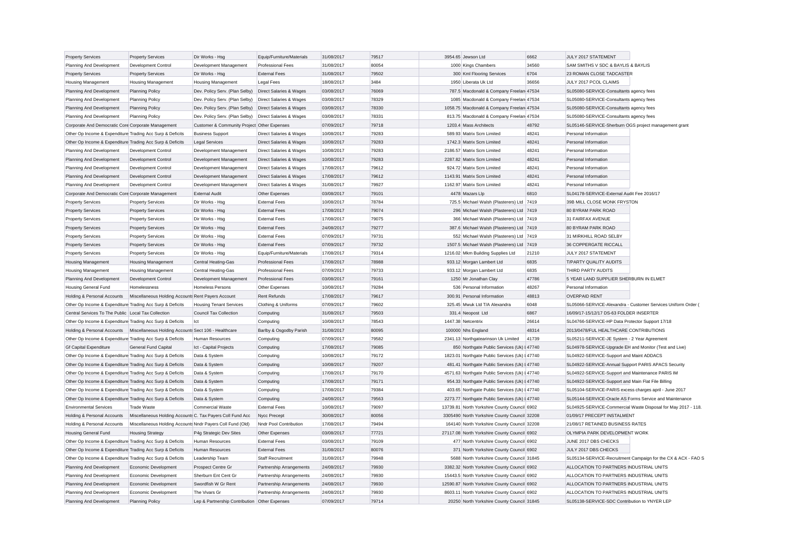| <b>Property Services</b>                                  | <b>Property Services</b>                                                           | Dir Works - Hsg                               | Equip/Furniture/Materials          | 31/08/2017 | 79517 | 3954.65 Jewson Ltd                             | 6662  | JULY 2017 STATEMENT                                     |                                                               |
|-----------------------------------------------------------|------------------------------------------------------------------------------------|-----------------------------------------------|------------------------------------|------------|-------|------------------------------------------------|-------|---------------------------------------------------------|---------------------------------------------------------------|
| Planning And Development                                  | Development Control                                                                | Development Management                        | <b>Professional Fees</b>           | 31/08/2017 | 80054 | 1000 Kings Chambers                            | 34560 | SAM SMITHS V SDC & BAYLIS & BAYLIS                      |                                                               |
| <b>Property Services</b>                                  | <b>Property Services</b>                                                           | Dir Works - Hsg                               | <b>External Fees</b>               | 31/08/2017 | 79502 | 300 Kml Flooring Services                      | 6704  | 23 ROMAN CLOSE TADCASTER                                |                                                               |
| <b>Housing Management</b>                                 | <b>Housing Management</b>                                                          | <b>Housing Management</b>                     | <b>Legal Fees</b>                  | 18/08/2017 | 3484  | 1950 Liberata Uk Ltd                           | 36656 | JULY 2017 PCOL CLAIMS                                   |                                                               |
| Planning And Development                                  | <b>Planning Policy</b>                                                             | Dev. Policy Serv. (Plan Selby)                | Direct Salaries & Wages            | 03/08/2017 | 76069 | 787.5 Macdonald & Company Freelan 47534        |       | SL05080-SERVICE-Consultants agency fees                 |                                                               |
| Planning And Development                                  | <b>Planning Policy</b>                                                             | Dev. Policy Serv. (Plan Selby)                | Direct Salaries & Wages            | 03/08/2017 | 78329 | 1085 Macdonald & Company Freelan 47534         |       | SL05080-SERVICE-Consultants agency fees                 |                                                               |
| Planning And Development                                  | <b>Planning Policy</b>                                                             | Dev. Policy Serv. (Plan Selby)                | Direct Salaries & Wages            | 03/08/2017 | 78330 | 1058.75 Macdonald & Company Freelan 47534      |       | SL05080-SERVICE-Consultants agency fees                 |                                                               |
| Planning And Development                                  | <b>Planning Policy</b>                                                             | Dev. Policy Serv. (Plan Selby)                | Direct Salaries & Wages            | 03/08/2017 | 78331 | 813.75 Macdonald & Company Freelan 47534       |       | SL05080-SERVICE-Consultants agency fees                 |                                                               |
| Corporate And Democratic Core Corporate Management        |                                                                                    | Customer & Community Project Other Expenses   |                                    | 07/09/2017 | 79718 | 1203.4 Mass Architects                         | 48792 | SL05146-SERVICE-Sherburn OGS project management grant   |                                                               |
| Other Op Income & Expenditure Trading Acc Surp & Deficits |                                                                                    | <b>Business Support</b>                       | Direct Salaries & Wages            | 10/08/2017 | 79283 | 589.93 Matrix Scm Limited                      | 48241 | Personal Information                                    |                                                               |
| Other Op Income & Expenditure Trading Acc Surp & Deficits |                                                                                    | <b>Legal Services</b>                         | Direct Salaries & Wages            | 10/08/2017 | 79283 | 1742.3 Matrix Scm Limited                      | 48241 | Personal Information                                    |                                                               |
| Planning And Development                                  | Development Control                                                                | Development Management                        | Direct Salaries & Wages            | 10/08/2017 | 79283 | 2186.57 Matrix Scm Limited                     | 48241 | Personal Information                                    |                                                               |
| Planning And Development                                  | Development Control                                                                | Development Management                        | Direct Salaries & Wages            | 10/08/2017 | 79283 | 2287.82 Matrix Scm Limited                     | 48241 | Personal Information                                    |                                                               |
| Planning And Development                                  | <b>Development Control</b>                                                         | Development Management                        | Direct Salaries & Wages            | 17/08/2017 | 79612 | 924.72 Matrix Scm Limited                      | 48241 | Personal Information                                    |                                                               |
| Planning And Development                                  | Development Control                                                                | Development Management                        | Direct Salaries & Wages            | 17/08/2017 | 79612 | 1143.91 Matrix Scm Limited                     | 48241 | Personal Information                                    |                                                               |
| Planning And Development                                  | <b>Development Control</b>                                                         | Development Management                        | <b>Direct Salaries &amp; Wages</b> | 31/08/2017 | 79927 | 1162.97 Matrix Scm Limited                     | 48241 | Personal Information                                    |                                                               |
| Corporate And Democratic Core Corporate Management        |                                                                                    | <b>External Audit</b>                         | Other Expenses                     | 03/08/2017 | 79101 | 4478 Mazars Llp                                | 6810  | SL04178-SERVICE-External Audit Fee 2016/17              |                                                               |
| <b>Property Services</b>                                  | <b>Property Services</b>                                                           | Dir Works - Hsg                               | <b>External Fees</b>               | 10/08/2017 | 78784 | 725.5 Michael Walsh (Plasterers) Ltd 7419      |       | 39B MILL CLOSE MONK FRYSTON                             |                                                               |
| <b>Property Services</b>                                  | <b>Property Services</b>                                                           | Dir Works - Hsg                               | <b>External Fees</b>               | 17/08/2017 | 79074 | 296 Michael Walsh (Plasterers) Ltd 7419        |       | 80 BYRAM PARK ROAD                                      |                                                               |
| <b>Property Services</b>                                  | <b>Property Services</b>                                                           | Dir Works - Hsg                               | <b>External Fees</b>               | 17/08/2017 | 79075 | 366 Michael Walsh (Plasterers) Ltd 7419        |       | 31 FAIRFAX AVENUE                                       |                                                               |
| <b>Property Services</b>                                  | <b>Property Services</b>                                                           | Dir Works - Hsg                               | <b>External Fees</b>               | 24/08/2017 | 79277 | 387.6 Michael Walsh (Plasterers) Ltd 7419      |       | 80 BYRAM PARK ROAD                                      |                                                               |
| <b>Property Services</b>                                  | <b>Property Services</b>                                                           | Dir Works - Hsg                               | <b>External Fees</b>               | 07/09/2017 | 79731 | 552 Michael Walsh (Plasterers) Ltd 7419        |       | 31 MIRKHILL ROAD SELBY                                  |                                                               |
| <b>Property Services</b>                                  | <b>Property Services</b>                                                           | Dir Works - Hsg                               | <b>External Fees</b>               | 07/09/2017 | 79732 | 1507.5 Michael Walsh (Plasterers) Ltd 7419     |       | 36 COPPERGATE RICCALL                                   |                                                               |
| <b>Property Services</b>                                  | <b>Property Services</b>                                                           | Dir Works - Hsg                               | Equip/Furniture/Materials          | 17/08/2017 | 79314 | 1216.02 Mkm Building Supplies Ltd              | 21210 | JULY 2017 STATEMENT                                     |                                                               |
| <b>Housing Management</b>                                 | <b>Housing Management</b>                                                          | Central Heating-Gas                           | <b>Professional Fees</b>           | 17/08/2017 | 78988 | 933.12 Morgan Lambert Ltd                      | 6835  | T/PARTY QUALITY AUDITS                                  |                                                               |
| <b>Housing Management</b>                                 | Housing Management                                                                 | Central Heating-Gas                           | <b>Professional Fees</b>           | 07/09/2017 | 79733 | 933.12 Morgan Lambert Ltd                      | 6835  | THIRD PARTY AUDITS                                      |                                                               |
| Planning And Development                                  | Development Control                                                                | Development Management                        | <b>Professional Fees</b>           | 03/08/2017 | 79161 | 1250 Mr Jonathan Clay                          | 47786 | 5 YEAR LAND SUPPLIER SHERBURN IN ELMET                  |                                                               |
| <b>Housing General Fund</b>                               | Homelessness                                                                       | <b>Homeless Persons</b>                       | Other Expenses                     | 10/08/2017 | 79284 | 536 Personal Information                       | 48267 | Personal Information                                    |                                                               |
| Holding & Personal Accounts                               | Miscellaneous Holding Accounts Rent Payers Account                                 |                                               | <b>Rent Refunds</b>                | 17/08/2017 | 79617 | 300.91 Personal Information                    | 48813 | <b>OVERPAID RENT</b>                                    |                                                               |
| Other Op Income & Expenditure Trading Acc Surp & Deficits |                                                                                    | <b>Housing Tenant Services</b>                | Clothing & Uniforms                | 07/09/2017 | 79602 | 325.45 Mwuk Ltd T/A Alexandra                  | 6048  |                                                         | SL05066-SERVICE-Alexandra - Customer Services Uniform Order ( |
| Central Services To The Public Local Tax Collection       |                                                                                    | <b>Council Tax Collection</b>                 | Computing                          | 31/08/2017 | 79503 | 331.4 Neopost Ltd                              | 6867  | 16/09/17-15/12/17 DS-63 FOLDER INSERTER                 |                                                               |
| Other Op Income & Expenditure Trading Acc Surp & Deficits |                                                                                    | Ict                                           | Computing                          | 10/08/2017 | 78543 | 1447.38 Netcentrix                             | 26614 | SL04766-SERVICE-HP Data Protector Support 17/18         |                                                               |
|                                                           |                                                                                    |                                               |                                    |            | 80095 |                                                |       | 2013/0478/FUL HEALTHCARE CONTRIBUTIONS                  |                                                               |
|                                                           | Holding & Personal Accounts   Miscellaneous Holding Accounts Sect 106 - Healthcare |                                               | Barlby & Osgodby Parish            | 31/08/2017 |       | 100000 Nhs England                             | 48314 |                                                         |                                                               |
| Other Op Income & Expenditure Trading Acc Surp & Deficits |                                                                                    | <b>Human Resources</b>                        | Computing                          | 07/09/2017 | 79582 | 2341.13 Northgatearinson Uk Limited            | 41739 | SL05211-SERVICE-JE System - 2 Year Agreement            |                                                               |
| <b>Gf Capital Expenditure</b>                             | General Fund Capital                                                               | Ict - Capital Projects                        | Computing                          | 17/08/2017 | 79085 | 850 Northgate Public Services (Uk) I 47740     |       | SL04978-SERVICE-Upgrade EH and Monitor (Test and Live)  |                                                               |
| Other Op Income & Expenditure Trading Acc Surp & Deficits |                                                                                    | Data & System                                 | Computing                          | 10/08/2017 | 79172 | 1823.01 Northgate Public Services (Uk) I 47740 |       | SL04922-SERVICE-Support and Maint ADDACS                |                                                               |
| Other Op Income & Expenditure Trading Acc Surp & Deficits |                                                                                    | Data & System                                 | Computing                          | 10/08/2017 | 79207 | 481.41 Northgate Public Services (Uk) I 47740  |       | SL04922-SERVICE-Annual Support PARIS APACS Security     |                                                               |
| Other Op Income & Expenditure Trading Acc Surp & Deficits |                                                                                    | Data & System                                 | Computing                          | 17/08/2017 | 79170 | 4571.63 Northgate Public Services (Uk) I 47740 |       | SL04922-SERVICE-Support and Maintenance PARIS IM        |                                                               |
| Other Op Income & Expenditure Trading Acc Surp & Deficits |                                                                                    | Data & System                                 | Computing                          | 17/08/2017 | 79171 | 954.33 Northgate Public Services (Uk) I 47740  |       | SL04922-SERVICE-Support and Main Flat File Billing      |                                                               |
| Other Op Income & Expenditure Trading Acc Surp & Deficits |                                                                                    | Data & System                                 | Computing                          | 17/08/2017 | 79384 | 403.65 Northgate Public Services (Uk) I 47740  |       | SL05104-SERVICE-PARIS excess charges april - June 2017  |                                                               |
| Other Op Income & Expenditure Trading Acc Surp & Deficits |                                                                                    | Data & System                                 | Computing                          | 24/08/2017 | 79563 | 2273.77 Northgate Public Services (Uk) I 47740 |       | SL05144-SERVICE-Oracle AS Forms Service and Maintenance |                                                               |
| <b>Environmental Services</b>                             | <b>Trade Waste</b>                                                                 | <b>Commercial Waste</b>                       | <b>External Fees</b>               | 10/08/2017 | 79097 | 13739.81 North Yorkshire County Council 6902   |       |                                                         | SL04925-SERVICE-Commercial Waste Disposal for May 2017 - 118. |
| Holding & Personal Accounts                               | Miscellaneous Holding Accounts C. Tax Payers Coll Fund Acc                         |                                               | Nycc Precept                       | 30/08/2017 | 80056 | 3305490 North Yorkshire County Council 32208   |       | 01/09/17 PRECEPT INSTALMENT                             |                                                               |
| Holding & Personal Accounts                               | Miscellaneous Holding Accounts Nndr Payers Coll Fund (Old)                         |                                               | Nndr Pool Contribution             | 17/08/2017 | 79494 | 164140 North Yorkshire County Council 32208    |       | 21/08/17 RETAINED BUSINESS RATES                        |                                                               |
| <b>Housing General Fund</b>                               | <b>Housing Strategy</b>                                                            | P4g Strategic Dev Sites                       | Other Expenses                     | 03/08/2017 | 77721 | 27117.08 North Yorkshire County Council 6902   |       | OLYMPIA PARK DEVELOPMENT WORK                           |                                                               |
| Other Op Income & Expenditure Trading Acc Surp & Deficits |                                                                                    | Human Resources                               | <b>External Fees</b>               | 03/08/2017 | 79109 | 477 North Yorkshire County Council 6902        |       | JUNE 2017 DBS CHECKS                                    |                                                               |
| Other Op Income & Expenditure Trading Acc Surp & Deficits |                                                                                    | <b>Human Resources</b>                        | <b>External Fees</b>               | 31/08/2017 | 80076 | 371 North Yorkshire County Council 6902        |       | JULY 2017 DBS CHECKS                                    |                                                               |
| Other Op Income & Expenditure Trading Acc Surp & Deficits |                                                                                    | Leadership Team                               | <b>Staff Recruitment</b>           | 31/08/2017 | 79948 | 5688 North Yorkshire County Council 31845      |       |                                                         | SL05134-SERVICE-Recruitment Campaign for the CX & ACX - FAO S |
| Planning And Development                                  | Economic Development                                                               | Prospect Centre Gr                            | Partnership Arrangements           | 24/08/2017 | 79930 | 3382.32 North Yorkshire County Council 6902    |       | ALLOCATION TO PARTNERS INDUSTRIAL UNITS                 |                                                               |
| Planning And Development                                  | Economic Development                                                               | Sherburn Ent Cent Gr                          | Partnership Arrangements           | 24/08/2017 | 79930 | 15443.5 North Yorkshire County Council 6902    |       | ALLOCATION TO PARTNERS INDUSTRIAL UNITS                 |                                                               |
| Planning And Development                                  | Economic Development                                                               | Swordfish W Gr Rent                           | Partnership Arrangements           | 24/08/2017 | 79930 | 12590.87 North Yorkshire County Council 6902   |       | ALLOCATION TO PARTNERS INDUSTRIAL UNITS                 |                                                               |
| Planning And Development                                  | Economic Development                                                               | The Vivars Gr                                 | Partnership Arrangements           | 24/08/2017 | 79930 | 8603.11 North Yorkshire County Council 6902    |       | ALLOCATION TO PARTNERS INDUSTRIAL UNITS                 |                                                               |
| Planning And Development                                  | Planning Policy                                                                    | Lep & Partnership Contribution Other Expenses |                                    | 07/09/2017 | 79714 | 20250 North Yorkshire County Council 31845     |       | SL05138-SERVICE-SDC Contribution to YNYER LEP           |                                                               |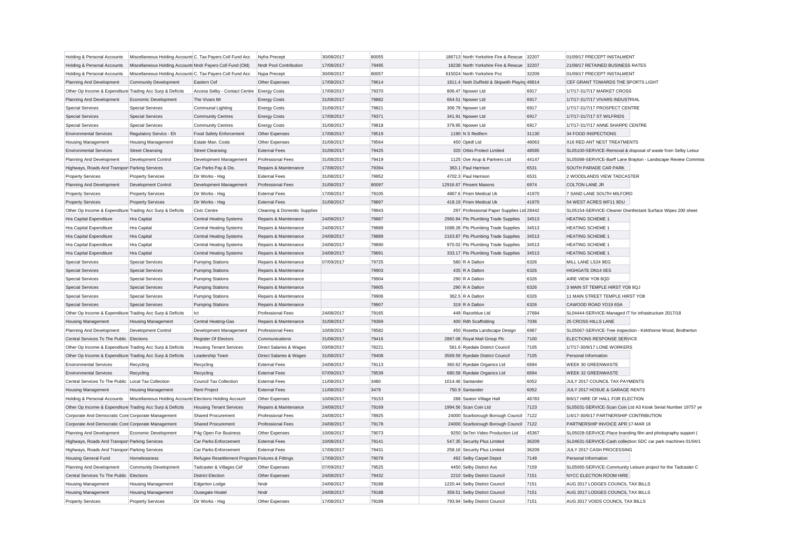| Holding & Personal Accounts                                                           | Miscellaneous Holding Accounts C. Tax Payers Coll Fund Acc |                                                  | Nyfra Precept                                  | 30/08/2017               | 80055 | 186713 North Yorkshire Fire & Rescue 32207                                 |       | 01/09/17 PRECEPT INSTALMENT                                   |
|---------------------------------------------------------------------------------------|------------------------------------------------------------|--------------------------------------------------|------------------------------------------------|--------------------------|-------|----------------------------------------------------------------------------|-------|---------------------------------------------------------------|
| Holding & Personal Accounts                                                           | Miscellaneous Holding Accounts Nndr Payers Coll Fund (Old) |                                                  | Nndr Pool Contribution                         | 17/08/2017               | 79495 | 18238 North Yorkshire Fire & Rescue 32207                                  |       | 21/08/17 RETAINED BUSINESS RATES                              |
| Holding & Personal Accounts                                                           | Miscellaneous Holding Accounts C. Tax Payers Coll Fund Acc |                                                  | Nypa Precept                                   | 30/08/2017               | 80057 | 615024 North Yorkshire Pcc                                                 | 32209 | 01/09/17 PRECEPT INSTALMENT                                   |
| Planning And Development                                                              | <b>Community Development</b>                               | <b>Fastern Cef</b>                               | Other Expenses                                 | 17/08/2017               | 79614 | 1811.4 Noth Duffield & Skipwith Playing 48814                              |       | CEF GRANT TOWARDS THE SPORTS LIGHT                            |
| Other Op Income & Expenditure Trading Acc Surp & Deficits                             |                                                            | Access Selby - Contact Centre Energy Costs       |                                                | 17/08/2017               | 79370 | 806.47 Noower Ltd                                                          | 6917  | 1/7/17-31/7/17 MARKET CROSS                                   |
| Planning And Development                                                              | Economic Development                                       | The Vivars Mr                                    | <b>Energy Costs</b>                            | 31/08/2017               | 79882 | 664.51 Npower Ltd                                                          | 6917  | 1/7/17-31/7/17 VIVARS INDUSTRIAL                              |
| <b>Special Services</b>                                                               | <b>Special Services</b>                                    | Communal Lighting                                | <b>Energy Costs</b>                            | 31/08/2017               | 79821 | 306.79 Npower Ltd                                                          | 6917  | 1/7/17-31/7/17 PROSPECT CENTRE                                |
| <b>Special Services</b>                                                               | <b>Special Services</b>                                    | <b>Community Centres</b>                         | <b>Energy Costs</b>                            | 17/08/2017               | 79371 | 341.91 Npower Ltd                                                          | 6917  | 1/7/17-31/7/17 ST WILFRIDS                                    |
| <b>Special Services</b>                                                               | <b>Special Services</b>                                    | <b>Community Centres</b>                         | <b>Energy Costs</b>                            | 31/08/2017               | 79818 | 379.95 Npower Ltd                                                          | 6917  | 1/7/17-31/7/17 ANNE SHARPE CENTRE                             |
| <b>Environmental Services</b>                                                         | Regulatory Servics - Eh                                    | Food Safety Enforcement                          | Other Expenses                                 | 17/08/2017               | 79519 | 1190 N S Redfern                                                           | 31130 | 34 FOOD INSPECTIONS                                           |
| <b>Housing Management</b>                                                             | <b>Housing Management</b>                                  | Estate Man, Costs                                | Other Expenses                                 | 31/08/2017               | 79564 | 450 Opkill Ltd                                                             | 48063 | X16 RED ANT NEST TREATMENTS                                   |
| <b>Environmental Services</b>                                                         | <b>Street Cleansing</b>                                    | <b>Street Cleansing</b>                          | <b>External Fees</b>                           | 31/08/2017               | 79425 | 320 Orbis Protect Limited                                                  | 48585 | SL05100-SERVICE-Removal & disposal of waste from Selby Leisur |
| Planning And Development                                                              | Development Control                                        | Development Management                           | <b>Professional Fees</b>                       | 31/08/2017               | 79419 | 1125 Ove Arup & Partners Ltd                                               | 44147 | SL05088-SERVICE-Barff Lane Brayton - Landscape Review Commiss |
| Highways, Roads And Transpor Parking Services                                         |                                                            | Car Parks Pay & Dis                              | Repairs & Maintenance                          | 17/08/2017               | 79394 | 363.1 Paul Harrison                                                        | 6531  | SOUTH PARADE CAR PARK                                         |
| <b>Property Services</b>                                                              | <b>Property Services</b>                                   | Dir Works - Hsg                                  | <b>External Fees</b>                           | 31/08/2017               | 79952 | 4702.3 Paul Harrison                                                       | 6531  | 2 WOODLANDS VIEW TADCASTER                                    |
| Planning And Development                                                              | <b>Development Control</b>                                 | Development Management                           | <b>Professional Fees</b>                       | 31/08/2017               | 80097 | 12916.67 Pinsent Masons                                                    | 6974  | <b>COLTON LANE JR</b>                                         |
| <b>Property Services</b>                                                              | <b>Property Services</b>                                   | Dir Works - Hsg                                  | <b>External Fees</b>                           | 17/08/2017               | 79105 | 4867.6 Prism Medical Uk                                                    | 41970 | 7 SAND LANE SOUTH MILFORD                                     |
|                                                                                       | <b>Property Services</b>                                   | Dir Works - Hsg                                  | <b>External Fees</b>                           | 31/08/2017               | 79897 | 418.19 Prism Medical Uk                                                    | 41970 | 54 WEST ACRES WF11 9DU                                        |
| <b>Property Services</b><br>Other Op Income & Expenditure Trading Acc Surp & Deficits |                                                            | Civic Centre                                     | Cleaning & Domestic Supplies                   |                          | 79943 | 297 Professional Paper Supplies Ltd 28442                                  |       | SL05154-SERVICE-Cleaner Disinfectant Surface Wipes 200 sheet  |
|                                                                                       |                                                            |                                                  |                                                |                          | 79887 |                                                                            | 34513 | <b>HEATING SCHEME 1</b>                                       |
| Hra Capital Expenditure                                                               | Hra Capital                                                | <b>Central Heating Systems</b>                   | Repairs & Maintenance<br>Repairs & Maintenance | 24/08/2017<br>24/08/2017 | 79888 | 2960.84 Pts Plumbing Trade Supplies<br>1088.28 Pts Plumbing Trade Supplies | 34513 | <b>HEATING SCHEME 1</b>                                       |
| Hra Capital Expenditure                                                               | Hra Capital                                                | <b>Central Heating Systems</b>                   |                                                | 24/08/2017               | 79889 | 2163.87 Pts Plumbing Trade Supplies                                        |       | <b>HEATING SCHEME 1</b>                                       |
| Hra Capital Expenditure                                                               | Hra Capital                                                | <b>Central Heating Systems</b>                   | Repairs & Maintenance                          |                          |       |                                                                            | 34513 |                                                               |
| Hra Capital Expenditure                                                               | Hra Capital                                                | <b>Central Heating Systems</b>                   | Repairs & Maintenance                          | 24/08/2017               | 79890 | 970.02 Pts Plumbing Trade Supplies                                         | 34513 | <b>HEATING SCHEME 1</b>                                       |
| Hra Capital Expenditure                                                               | Hra Capital                                                | <b>Central Heating Systems</b>                   | Repairs & Maintenance                          | 24/08/2017               | 79891 | 333.17 Pts Plumbing Trade Supplies                                         | 34513 | <b>HEATING SCHEME 1</b>                                       |
| <b>Special Services</b>                                                               | <b>Special Services</b>                                    | <b>Pumping Stations</b>                          | Repairs & Maintenance                          | 07/09/2017               | 79725 | 580 R A Dalton                                                             | 6326  | MILL LANE LS24 9EG                                            |
| <b>Special Services</b>                                                               | <b>Special Services</b>                                    | <b>Pumping Stations</b>                          | Repairs & Maintenance                          |                          | 79903 | 435 R A Dalton                                                             | 6326  | HIGHGATE DN14 0ES                                             |
| <b>Special Services</b>                                                               | <b>Special Services</b>                                    | <b>Pumping Stations</b>                          | Repairs & Maintenance                          |                          | 79904 | 290 R A Dalton                                                             | 6326  | AIRE VIEW YO8 8QD                                             |
| <b>Special Services</b>                                                               | <b>Special Services</b>                                    | <b>Pumping Stations</b>                          | Repairs & Maintenance                          |                          | 79905 | 290 R A Dalton                                                             | 6326  | 3 MAIN ST TEMPLE HIRST YO8 8QJ                                |
| <b>Special Services</b>                                                               | <b>Special Services</b>                                    | <b>Pumping Stations</b>                          | Repairs & Maintenance                          |                          | 79906 | 362.5 R A Dalton                                                           | 6326  | 11 MAIN STREET TEMPLE HIRST YO8                               |
| <b>Special Services</b>                                                               | <b>Special Services</b>                                    | <b>Pumping Stations</b>                          | Repairs & Maintenance                          |                          | 79907 | 319 R A Dalton                                                             | 6326  | CAWOOD ROAD YO19 6SA                                          |
| Other Op Income & Expenditure Trading Acc Surp & Deficits                             |                                                            | Ict                                              | <b>Professional Fees</b>                       | 24/08/2017               | 79165 | 448 Razorblue Ltd                                                          | 27684 | SL04444-SERVICE-Managed IT for infrastructure 2017/18         |
| <b>Housing Management</b>                                                             | Housing Management                                         | <b>Central Heating-Gas</b>                       | Repairs & Maintenance                          | 31/08/2017               | 79369 | 400 Rdh Scaffolding                                                        | 7036  | 25 CROSS HILLS LANE                                           |
| Planning And Development                                                              | Development Control                                        | Development Management                           | <b>Professional Fees</b>                       | 10/08/2017               | 78582 | 450 Rosetta Landscape Design                                               | 6987  | SL05067-SERVICE-Tree inspection - Kirkthorne Wood, Brotherton |
| Central Services To The Public Elections                                              |                                                            | Register Of Electors                             | Communications                                 | 31/08/2017               | 79416 | 2887.08 Royal Mail Group Plc                                               | 7100  | ELECTIONS RESPONSE SERVICE                                    |
| Other Op Income & Expenditure Trading Acc Surp & Deficits                             |                                                            | <b>Housing Tenant Services</b>                   | Direct Salaries & Wages                        | 03/08/2017               | 78221 | 561.6 Ryedale District Council                                             | 7105  | 1/7/17-30/9/17 LONE WORKERS                                   |
| Other Op Income & Expenditure Trading Acc Surp & Deficits                             |                                                            | Leadership Team                                  | Direct Salaries & Wages                        | 31/08/2017               | 79408 | 3569.59 Ryedale District Council                                           | 7105  | Personal Information                                          |
| <b>Environmental Services</b>                                                         | Recycling                                                  | Recycling                                        | <b>External Fees</b>                           | 24/08/2017               | 79113 | 360.62 Ryedale Organics Ltd                                                | 6694  | WEEK 30 GREENWASTE                                            |
| <b>Environmental Services</b>                                                         | Recycling                                                  | Recycling                                        | <b>External Fees</b>                           | 07/09/2017               | 79539 | 680.58 Ryedale Organics Ltd                                                | 6694  | <b>WEEK 32 GREENWASTE</b>                                     |
| Central Services To The Public Local Tax Collection                                   |                                                            | <b>Council Tax Collection</b>                    | <b>External Fees</b>                           | 11/08/2017               | 3480  | 1014.46 Santander                                                          | 6052  | JULY 2017 COUNCIL TAX PAYMENTS                                |
| <b>Housing Management</b>                                                             | Housing Management                                         | <b>Rent Project</b>                              | <b>External Fees</b>                           | 11/08/2017               | 3479  | 750.9 Santander                                                            | 6052  | JULY 2017 HOSUE & GARAGE RENTS                                |
| Holding & Personal Accounts                                                           | Miscellaneous Holding Accounts Elections Holding Account   |                                                  | Other Expenses                                 | 10/08/2017               | 79153 | 288 Saxton Village Hall                                                    | 46783 | 8/6/17 HIRE OF HALL FOR ELECTION                              |
| Other Op Income & Expenditure Trading Acc Surp & Deficits                             |                                                            | <b>Housing Tenant Services</b>                   | Repairs & Maintenance                          | 24/08/2017               | 79169 | 1994.56 Scan Coin Ltd                                                      | 7123  | SL05031-SERVICE-Scan Coin Ltd A3 Kiosk Serial Number 19757 ye |
| Corporate And Democratic Core Corporate Management                                    |                                                            | <b>Shared Procurement</b>                        | <b>Professional Fees</b>                       | 24/08/2017               | 78925 | 24000 Scarborough Borough Council                                          | 7122  | 1/4/17-30/6/17 PARTNERSHIP CONTRIBUTION                       |
| Corporate And Democratic Core Corporate Management                                    |                                                            | <b>Shared Procurement</b>                        | <b>Professional Fees</b>                       | 24/08/2017               | 79178 | 24000 Scarborough Borough Council                                          | 7122  | PARTNERSHIP INVOICE APR 17-MAR 18                             |
| Planning And Development                                                              | Economic Development                                       | P4g Open For Business                            | Other Expenses                                 | 10/08/2017               | 79073 | 9250 Se7en Video Production Ltd                                            | 45367 | SL05028-SERVICE-Place branding film and photography support ( |
| Highways, Roads And Transpor Parking Services                                         |                                                            | Car Parks Enforcement                            | <b>External Fees</b>                           | 10/08/2017               | 79141 | 547.35 Security Plus Limited                                               | 36209 | SL04631-SERVICE-Cash collection SDC car park machines 01/04/1 |
| Highways, Roads And Transpor Parking Services                                         |                                                            | Car Parks Enforcement                            | <b>External Fees</b>                           | 17/08/2017               | 79431 | 258.16 Security Plus Limited                                               | 36209 | JULY 2017 CASH PROCESSING                                     |
| <b>Housing General Fund</b>                                                           | Homelessness                                               | Refugee Resettlement Program Fixtures & Fittings |                                                | 17/08/2017               | 79078 | 492 Selby Carpet Depot                                                     | 7148  | Personal Information                                          |
| Planning And Development                                                              | <b>Community Development</b>                               | Tadcaster & Villages Cef                         | Other Expenses                                 | 07/09/2017               | 79525 | 4450 Selby District Avs                                                    | 7159  | SL05065-SERVICE-Community Leisure project for the Tadcaster C |
| Central Services To The Public                                                        | <b>Flections</b>                                           | <b>District Election</b>                         | Other Expenses                                 | 24/08/2017               | 79432 | 2210 Selby District Council                                                | 7151  | NYCC ELECTION ROOM HIRE                                       |
| <b>Housing Management</b>                                                             | <b>Housing Management</b>                                  | Edgerton Lodge                                   | Nndr                                           | 24/08/2017               | 79188 | 1220.44 Selby District Council                                             | 7151  | AUG 2017 LODGES COUNCIL TAX BILLS                             |
| <b>Housing Management</b>                                                             | <b>Housing Management</b>                                  | Ousegate Hostel                                  | Nndr                                           | 24/08/2017               | 79188 | 359.51 Selby District Council                                              | 7151  | AUG 2017 LODGES COUNCIL TAX BILLS                             |
| <b>Property Services</b>                                                              | <b>Property Services</b>                                   | Dir Works - Hsg                                  | Other Expenses                                 | 17/08/2017               | 79189 | 793.94 Selby District Council                                              | 7151  | AUG 2017 VOIDS COUNCIL TAX BILLS                              |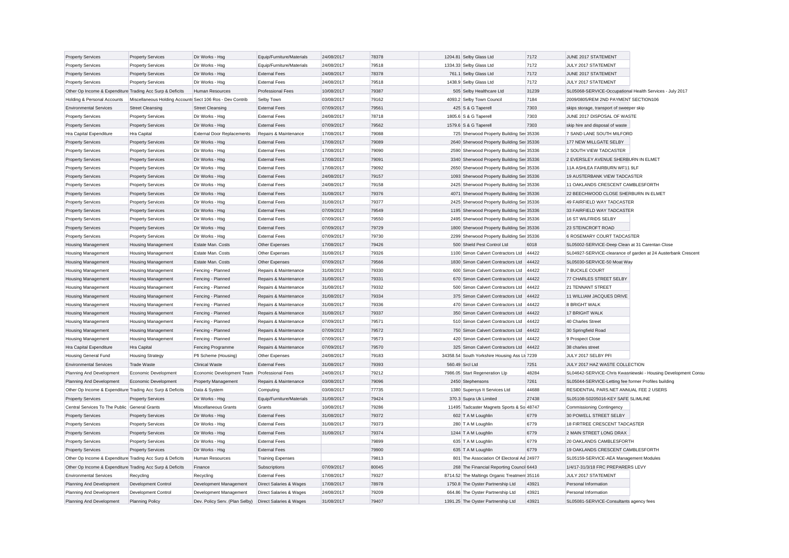| <b>Property Services</b>                                  | <b>Property Services</b>                                  | Dir Works - Hsg                        | Equip/Furniture/Materials        | 24/08/2017               | 78378          | 1204.81 Selby Glass Ltd                                                        | 7172  | JUNE 2017 STATEMENT                                      |                                                               |
|-----------------------------------------------------------|-----------------------------------------------------------|----------------------------------------|----------------------------------|--------------------------|----------------|--------------------------------------------------------------------------------|-------|----------------------------------------------------------|---------------------------------------------------------------|
| <b>Property Services</b>                                  | <b>Property Services</b>                                  | Dir Works - Hsg                        | Equip/Furniture/Materials        | 24/08/2017               | 79518          | 1334.33 Selby Glass Ltd                                                        | 7172  | JULY 2017 STATEMENT                                      |                                                               |
| <b>Property Services</b>                                  | <b>Property Services</b>                                  | Dir Works - Hsg                        | <b>External Fees</b>             | 24/08/2017               | 78378          | 761.1 Selby Glass Ltd                                                          | 7172  | JUNE 2017 STATEMENT                                      |                                                               |
| <b>Property Services</b>                                  | <b>Property Services</b>                                  | Dir Works - Hsg                        | <b>External Fees</b>             | 24/08/2017               | 79518          | 1438.9 Selby Glass Ltd                                                         | 7172  | JULY 2017 STATEMENT                                      |                                                               |
| Other Op Income & Expenditure Trading Acc Surp & Deficits |                                                           | Human Resources                        | <b>Professional Fees</b>         | 10/08/2017               | 79387          | 505 Selby Healthcare Ltd                                                       | 31239 | SL05068-SERVICE-Occupational Health Services - July 2017 |                                                               |
| Holding & Personal Accounts                               | Miscellaneous Holding Accounts Sect 106 Ros - Dev Contrib |                                        | Selby Town                       | 03/08/2017               | 79162          | 4093.2 Selby Town Council                                                      | 7184  | 2009/0805/REM 2ND PAYMENT SECTION106                     |                                                               |
| <b>Environmental Services</b>                             | <b>Street Cleansing</b>                                   | <b>Street Cleansing</b>                | <b>External Fees</b>             | 07/09/2017               | 79561          | 425 S & G Taperell                                                             | 7303  | skips storage, transport of sweeper skip                 |                                                               |
| <b>Property Services</b>                                  | <b>Property Services</b>                                  | Dir Works - Hsg                        | <b>External Fees</b>             | 24/08/2017               | 78718          | 1805.6 S & G Taperell                                                          | 7303  | JUNE 2017 DISPOSAL OF WASTE                              |                                                               |
| <b>Property Services</b>                                  | <b>Property Services</b>                                  | Dir Works - Hsg                        | <b>External Fees</b>             | 07/09/2017               | 79562          | 1579.6 S & G Taperell                                                          | 7303  | skip hire and disposal of waste                          |                                                               |
| Hra Capital Expenditure                                   | Hra Capital                                               | <b>External Door Replacements</b>      | Repairs & Maintenance            | 17/08/2017               | 79088          | 725 Sherwood Property Building Ser 35336                                       |       | 7 SAND LANE SOUTH MILFORD                                |                                                               |
| <b>Property Services</b>                                  | <b>Property Services</b>                                  | Dir Works - Hsg                        | <b>External Fees</b>             | 17/08/2017               | 79089          | 2640 Sherwood Property Building Ser 35336                                      |       | 177 NEW MILLGATE SELBY                                   |                                                               |
| <b>Property Services</b>                                  | <b>Property Services</b>                                  | Dir Works - Hsg                        | <b>External Fees</b>             | 17/08/2017               | 79090          | 2590 Sherwood Property Building Ser 35336                                      |       | 2 SOUTH VIEW TADCASTER                                   |                                                               |
| <b>Property Services</b>                                  | <b>Property Services</b>                                  | Dir Works - Hsg                        | <b>External Fees</b>             | 17/08/2017               | 79091          | 3340 Sherwood Property Building Ser 35336                                      |       | 2 EVERSLEY AVENUE SHERBURN IN ELMET                      |                                                               |
| <b>Property Services</b>                                  | <b>Property Services</b>                                  | Dir Works - Hsg                        | <b>External Fees</b>             | 17/08/2017               | 79092          | 2650 Sherwood Property Building Ser 35336                                      |       | 11A ASHLEA FAIRBURN WF11 9LF                             |                                                               |
| <b>Property Services</b>                                  | <b>Property Services</b>                                  | Dir Works - Hsc                        | <b>External Fees</b>             | 24/08/2017               | 79157          | 1093 Sherwood Property Building Ser 35336                                      |       | 19 AUSTERBANK VIEW TADCASTER                             |                                                               |
| <b>Property Services</b>                                  | <b>Property Services</b>                                  | Dir Works - Hsg                        | <b>External Fees</b>             | 24/08/2017               | 79158          | 2425 Sherwood Property Building Ser 35336                                      |       | 11 OAKLANDS CRESCENT CAMBLESFORTH                        |                                                               |
| <b>Property Services</b>                                  | <b>Property Services</b>                                  | Dir Works - Hsg                        | <b>External Fees</b>             | 31/08/2017               | 79376          | 4071 Sherwood Property Building Ser 35336                                      |       | 22 BEECHWOOD CLOSE SHERBURN IN ELMET                     |                                                               |
| <b>Property Services</b>                                  | <b>Property Services</b>                                  | Dir Works - Hsg                        | <b>External Fees</b>             | 31/08/2017               | 79377          | 2425 Sherwood Property Building Ser 35336                                      |       | 49 FAIRFIELD WAY TADCASTER                               |                                                               |
| <b>Property Services</b>                                  | <b>Property Services</b>                                  | Dir Works - Hsg                        | <b>External Fees</b>             | 07/09/2017               | 79549          | 1195 Sherwood Property Building Ser 35336                                      |       | 33 FAIRFIELD WAY TADCASTER                               |                                                               |
| <b>Property Services</b>                                  | <b>Property Services</b>                                  | Dir Works - Hsg                        | <b>External Fees</b>             | 07/09/2017               | 79550          | 2495 Sherwood Property Building Ser 35336                                      |       | 16 ST WILFRIDS SELBY                                     |                                                               |
| <b>Property Services</b>                                  | <b>Property Services</b>                                  | Dir Works - Hsg                        | <b>External Fees</b>             | 07/09/2017               | 79729          | 1800 Sherwood Property Building Ser 35336                                      |       | 23 STEINCROFT ROAD                                       |                                                               |
| <b>Property Services</b>                                  | <b>Property Services</b>                                  | Dir Works - Hsg                        | <b>External Fees</b>             | 07/09/2017               | 79730          | 2299 Sherwood Property Building Ser 35336                                      |       | 6 ROSEMARY COURT TADCASTER                               |                                                               |
|                                                           |                                                           |                                        |                                  |                          | 79426          |                                                                                |       |                                                          |                                                               |
| <b>Housing Management</b>                                 | <b>Housing Management</b>                                 | Estate Man. Costs                      | Other Expenses                   | 17/08/2017<br>31/08/2017 | 79326          | 500 Shield Pest Control Ltd<br>1100 Simon Calvert Contractors Ltd 44422        | 6018  | SL05002-SERVICE-Deep Clean at 31 Carentan Close          |                                                               |
| <b>Housing Management</b><br><b>Housing Management</b>    | <b>Housing Management</b><br><b>Housing Management</b>    | Estate Man. Costs<br>Estate Man, Costs | Other Expenses<br>Other Expenses | 07/09/2017               | 79566          | 1830 Simon Calvert Contractors Ltd                                             | 44422 | SL05030-SERVICE-50 Moat Way                              | SL04927-SERVICE-clearance of garden at 24 Austerbank Crescent |
|                                                           |                                                           |                                        |                                  |                          | 79330          |                                                                                |       |                                                          |                                                               |
| <b>Housing Management</b>                                 | <b>Housing Management</b>                                 | Fencing - Planned                      | Repairs & Maintenance            | 31/08/2017               | 79331          | 600 Simon Calvert Contractors Ltd   44422<br>670 Simon Calvert Contractors Ltd | 44422 | 7 BUCKLE COURT<br>77 CHARLES STREET SELBY                |                                                               |
| <b>Housing Management</b>                                 | <b>Housing Management</b>                                 | Fencing - Planned                      | Repairs & Maintenance            | 31/08/2017               | 79332          |                                                                                |       |                                                          |                                                               |
| <b>Housing Management</b>                                 | <b>Housing Management</b>                                 | Fencing - Planned                      | Repairs & Maintenance            | 31/08/2017               |                | 500 Simon Calvert Contractors Ltd                                              | 44422 | 21 TENNANT STREET                                        |                                                               |
| <b>Housing Management</b>                                 | <b>Housing Management</b>                                 | Fencing - Planned                      | Repairs & Maintenance            | 31/08/2017               | 79334<br>79336 | 375 Simon Calvert Contractors Ltd<br>470 Simon Calvert Contractors Ltd         | 44422 | 11 WILLIAM JACQUES DRIVE<br>8 BRIGHT WALK                |                                                               |
| Housing Management                                        | Housing Management                                        | Fencing - Planned                      | Repairs & Maintenance            | 31/08/2017               |                |                                                                                | 44422 |                                                          |                                                               |
| <b>Housing Management</b>                                 | <b>Housing Management</b>                                 | Fencing - Planned                      | Repairs & Maintenance            | 31/08/2017               | 79337          | 350 Simon Calvert Contractors Ltd                                              | 44422 | <b>17 BRIGHT WALK</b>                                    |                                                               |
| <b>Housing Management</b>                                 | <b>Housing Management</b>                                 | Fencing - Planned                      | Repairs & Maintenance            | 07/09/2017               | 79571          | 510 Simon Calvert Contractors Ltd                                              | 44422 | 40 Charles Street                                        |                                                               |
| <b>Housing Management</b>                                 | <b>Housing Management</b>                                 | Fencing - Planned                      | Repairs & Maintenance            | 07/09/2017               | 79572          | 750 Simon Calvert Contractors Ltd                                              | 44422 | 30 Springfield Road                                      |                                                               |
| <b>Housing Management</b>                                 | <b>Housing Management</b>                                 | Fencing - Planned                      | Repairs & Maintenance            | 07/09/2017               | 79573          | 420 Simon Calvert Contractors Ltd                                              | 44422 | 9 Prospect Close                                         |                                                               |
| Hra Capital Expenditure                                   | Hra Capital                                               | Fencing Programme                      | Repairs & Maintenance            | 07/09/2017               | 79570          | 325 Simon Calvert Contractors Ltd                                              | 44422 | 38 charles street                                        |                                                               |
| <b>Housing General Fund</b>                               | <b>Housing Strategy</b>                                   | Pfi Scheme (Housing)                   | Other Expenses                   | 24/08/2017               | 79183          | 34358.54 South Yorkshire Housing Ass Lt 7239                                   |       | JULY 2017 SELBY PFI                                      |                                                               |
| <b>Environmental Services</b>                             | <b>Trade Waste</b>                                        | <b>Clinical Waste</b>                  | <b>External Fees</b>             | 31/08/2017               | 79393          | 560.49 Srcl Ltd                                                                | 7251  | JULY 2017 HAZ WASTE COLLECTION                           |                                                               |
| Planning And Development                                  | Economic Development                                      | Economic Development Team              | <b>Professional Fees</b>         | 24/08/2017               | 79212          | 7986.05 Start Regeneration Llp                                                 | 48284 |                                                          | SL04642-SERVICE-Chris Kwasniewski - Housing Development Consu |
| Planning And Development                                  | Economic Development                                      | <b>Property Management</b>             | Repairs & Maintenance            | 03/08/2017               | 79096          | 2450 Stephensons                                                               | 7261  | SL05044-SERVICE-Letting fee former Profiles building     |                                                               |
| Other Op Income & Expenditure Trading Acc Surp & Deficits |                                                           | Data & System                          | Computing                        | 03/08/2017               | 77735          | 1380 Supersys It Services Ltd                                                  | 44688 | RESIDENTIAL PARS.NET ANNUAL FEE 2 USERS                  |                                                               |
| <b>Property Services</b>                                  | <b>Property Services</b>                                  | Dir Works - Hsa                        | Equip/Furniture/Materials        | 31/08/2017               | 79424          | 370.3 Supra Uk Limited                                                         | 27438 | SL05108-S0205016-KEY SAFE SLIMLINE                       |                                                               |
| Central Services To The Public General Grants             |                                                           | Miscellaneous Grants                   | Grants                           | 10/08/2017               | 79286          | 11495 Tadcaster Magnets Sports & So 48747                                      |       | <b>Commissioning Contingency</b>                         |                                                               |
| <b>Property Services</b>                                  | <b>Property Services</b>                                  | Dir Works - Hsg                        | <b>External Fees</b>             | 31/08/2017               | 79372          | 602 T A M Loughlin                                                             | 6779  | 30 POWELL STREET SELBY                                   |                                                               |
| <b>Property Services</b>                                  | <b>Property Services</b>                                  | Dir Works - Hsg                        | <b>External Fees</b>             | 31/08/2017               | 79373          | 280 T A M Loughlin                                                             | 6779  | 18 FIRTREE CRESCENT TADCASTER                            |                                                               |
| <b>Property Services</b>                                  | <b>Property Services</b>                                  | Dir Works - Hsg                        | <b>External Fees</b>             | 31/08/2017               | 79374          | 1244 T A M Loughlin                                                            | 6779  | 2 MAIN STREET LONG DRAX                                  |                                                               |
| <b>Property Services</b>                                  | <b>Property Services</b>                                  | Dir Works - Hsg                        | <b>External Fees</b>             |                          | 79899          | 635 T A M Loughlin                                                             | 6779  | 20 OAKLANDS CAMBLESFORTH                                 |                                                               |
| <b>Property Services</b>                                  | <b>Property Services</b>                                  | Dir Works - Hsg                        | <b>External Fees</b>             |                          | 79900          | 635 T A M Loughlin                                                             | 6779  | 19 OAKLANDS CRESCENT CAMBLESFORTH                        |                                                               |
| Other Op Income & Expenditure Trading Acc Surp & Deficits |                                                           | Human Resources                        | <b>Training Expenses</b>         |                          | 79813          | 801 The Association Of Electoral Ad 24977                                      |       | SL05159-SERVICE-AEA Management Modules                   |                                                               |
| Other Op Income & Expenditure Trading Acc Surp & Deficits |                                                           | Finance                                | Subscriptions                    | 07/09/2017               | 80045          | 268 The Financial Reporting Council 6443                                       |       | 1/4/17-31/3/18 FRC PREPARERS LEVY                        |                                                               |
| <b>Environmental Services</b>                             | Recycling                                                 | Recycling                              | <b>External Fees</b>             | 17/08/2017               | 79327          | 8714.52 The Maltings Organic Treatmen 35116                                    |       | JULY 2017 STATEMENT                                      |                                                               |
| Planning And Development                                  | Development Control                                       | Development Management                 | Direct Salaries & Wages          | 17/08/2017               | 78978          | 1750.8 The Oyster Partnership Ltd                                              | 43921 | Personal Information                                     |                                                               |
| Planning And Development                                  | Development Control                                       | Development Management                 | Direct Salaries & Wages          | 24/08/2017               | 79209          | 664.86 The Oyster Partnership Ltd                                              | 43921 | Personal Information                                     |                                                               |
| Planning And Development                                  | <b>Planning Policy</b>                                    | Dev. Policy Serv. (Plan Selby)         | Direct Salaries & Wages          | 31/08/2017               | 79407          | 1391.25 The Oyster Partnership Ltd                                             | 43921 | SL05081-SERVICE-Consultants agency fees                  |                                                               |